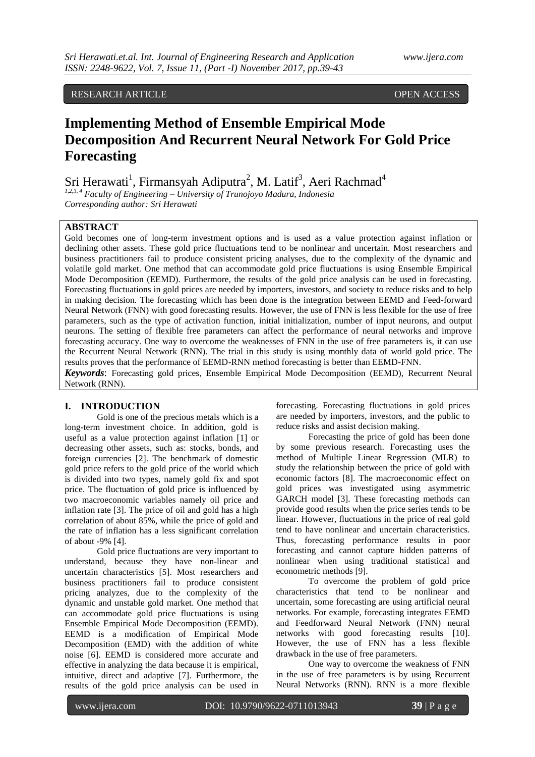RESEARCH ARTICLE OPEN ACCESS

# **Implementing Method of Ensemble Empirical Mode Decomposition And Recurrent Neural Network For Gold Price Forecasting**

Sri Herawati<sup>1</sup>, Firmansyah Adiputra<sup>2</sup>, M. Latif<sup>3</sup>, Aeri Rachmad<sup>4</sup>

*1,2,3, 4 Faculty of Engineering – University of Trunojoyo Madura, Indonesia Corresponding author: Sri Herawati*

### **ABSTRACT**

Gold becomes one of long-term investment options and is used as a value protection against inflation or declining other assets. These gold price fluctuations tend to be nonlinear and uncertain. Most researchers and business practitioners fail to produce consistent pricing analyses, due to the complexity of the dynamic and volatile gold market. One method that can accommodate gold price fluctuations is using Ensemble Empirical Mode Decomposition (EEMD). Furthermore, the results of the gold price analysis can be used in forecasting. Forecasting fluctuations in gold prices are needed by importers, investors, and society to reduce risks and to help in making decision. The forecasting which has been done is the integration between EEMD and Feed-forward Neural Network (FNN) with good forecasting results. However, the use of FNN is less flexible for the use of free parameters, such as the type of activation function, initial initialization, number of input neurons, and output neurons. The setting of flexible free parameters can affect the performance of neural networks and improve forecasting accuracy. One way to overcome the weaknesses of FNN in the use of free parameters is, it can use the Recurrent Neural Network (RNN). The trial in this study is using monthly data of world gold price. The results proves that the performance of EEMD-RNN method forecasting is better than EEMD-FNN. *Keywords*: Forecasting gold prices, Ensemble Empirical Mode Decomposition (EEMD), Recurrent Neural

Network (RNN).

## **I. INTRODUCTION**

Gold is one of the precious metals which is a long-term investment choice. In addition, gold is useful as a value protection against inflation [1] or decreasing other assets, such as: stocks, bonds, and foreign currencies [2]. The benchmark of domestic gold price refers to the gold price of the world which is divided into two types, namely gold fix and spot price. The fluctuation of gold price is influenced by two macroeconomic variables namely oil price and inflation rate [3]. The price of oil and gold has a high correlation of about 85%, while the price of gold and the rate of inflation has a less significant correlation of about -9% [4].

Gold price fluctuations are very important to understand, because they have non-linear and uncertain characteristics [5]. Most researchers and business practitioners fail to produce consistent pricing analyzes, due to the complexity of the dynamic and unstable gold market. One method that can accommodate gold price fluctuations is using Ensemble Empirical Mode Decomposition (EEMD). EEMD is a modification of Empirical Mode Decomposition (EMD) with the addition of white noise [6]. EEMD is considered more accurate and effective in analyzing the data because it is empirical, intuitive, direct and adaptive [7]. Furthermore, the results of the gold price analysis can be used in

forecasting. Forecasting fluctuations in gold prices are needed by importers, investors, and the public to reduce risks and assist decision making.

Forecasting the price of gold has been done by some previous research. Forecasting uses the method of Multiple Linear Regression (MLR) to study the relationship between the price of gold with economic factors [8]. The macroeconomic effect on gold prices was investigated using asymmetric GARCH model [3]. These forecasting methods can provide good results when the price series tends to be linear. However, fluctuations in the price of real gold tend to have nonlinear and uncertain characteristics. Thus, forecasting performance results in poor forecasting and cannot capture hidden patterns of nonlinear when using traditional statistical and econometric methods [9].

To overcome the problem of gold price characteristics that tend to be nonlinear and uncertain, some forecasting are using artificial neural networks. For example, forecasting integrates EEMD and Feedforward Neural Network (FNN) neural networks with good forecasting results [10]. However, the use of FNN has a less flexible drawback in the use of free parameters.

One way to overcome the weakness of FNN in the use of free parameters is by using Recurrent Neural Networks (RNN). RNN is a more flexible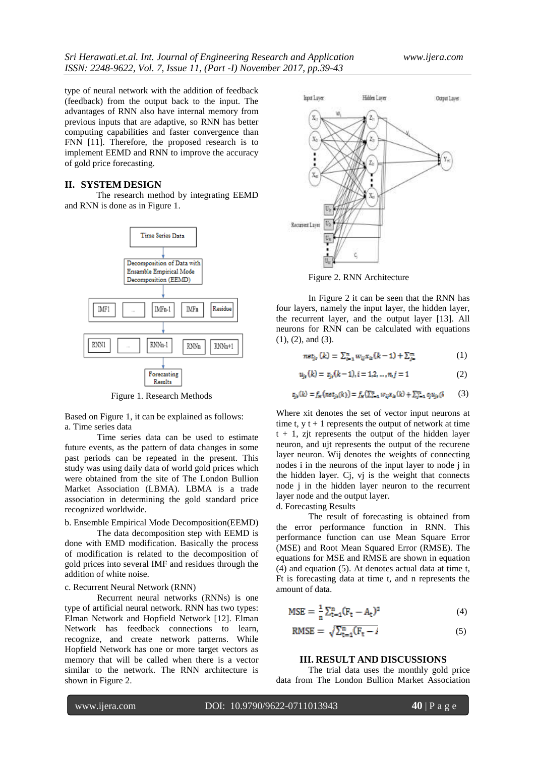type of neural network with the addition of feedback (feedback) from the output back to the input. The advantages of RNN also have internal memory from previous inputs that are adaptive, so RNN has better computing capabilities and faster convergence than FNN [11]. Therefore, the proposed research is to implement EEMD and RNN to improve the accuracy of gold price forecasting.

### **II. SYSTEM DESIGN**

The research method by integrating EEMD and RNN is done as in Figure 1.



Figure 1. Research Methods

Based on Figure 1, it can be explained as follows: a. Time series data

Time series data can be used to estimate future events, as the pattern of data changes in some past periods can be repeated in the present. This study was using daily data of world gold prices which were obtained from the site of The London Bullion Market Association (LBMA). LBMA is a trade association in determining the gold standard price recognized worldwide.

b. Ensemble Empirical Mode Decomposition(EEMD)

The data decomposition step with EEMD is done with EMD modification. Basically the process of modification is related to the decomposition of gold prices into several IMF and residues through the addition of white noise.

#### c. Recurrent Neural Network (RNN)

Recurrent neural networks (RNNs) is one type of artificial neural network. RNN has two types: Elman Network and Hopfield Network [12]. Elman Network has feedback connections to learn, recognize, and create network patterns. While Hopfield Network has one or more target vectors as memory that will be called when there is a vector similar to the network. The RNN architecture is shown in Figure 2.



Figure 2. RNN Architecture

In Figure 2 it can be seen that the RNN has four layers, namely the input layer, the hidden layer, the recurrent layer, and the output layer [13]. All neurons for RNN can be calculated with equations (1), (2), and (3).

$$
net_{jk}(k) = \sum_{i=1}^{n} w_{ij} x_{ik}(k-1) + \sum_{j=1}^{n} (1)
$$

$$
u_{jt}(k) = z_{jt}(k-1), i = 1, 2, ..., n, j = 1
$$
 (2)

$$
z_{jk}(k) = f_H(nst_{jk}(k)) = f_H(\sum_{i=1}^n w_{ij}x_{ik}(k) + \sum_{j=1}^m c_j u_{jk}(k)
$$
 (3)

Where xit denotes the set of vector input neurons at time t,  $y t + 1$  represents the output of network at time  $t + 1$ , zit represents the output of the hidden layer neuron, and ujt represents the output of the recurene layer neuron. Wij denotes the weights of connecting nodes i in the neurons of the input layer to node j in the hidden layer. Cj, vj is the weight that connects node j in the hidden layer neuron to the recurrent layer node and the output layer.

d. Forecasting Results

The result of forecasting is obtained from the error performance function in RNN. This performance function can use Mean Square Error (MSE) and Root Mean Squared Error (RMSE). The equations for MSE and RMSE are shown in equation (4) and equation (5). At denotes actual data at time t, Ft is forecasting data at time t, and n represents the amount of data.

$$
MSE = \frac{1}{n} \sum_{t=1}^{n} (F_t - A_t)^2
$$
 (4)

$$
RMSE = \sqrt{\sum_{t=1}^{n} (F_t - I)} \tag{5}
$$

#### **III. RESULT AND DISCUSSIONS**

The trial data uses the monthly gold price data from The London Bullion Market Association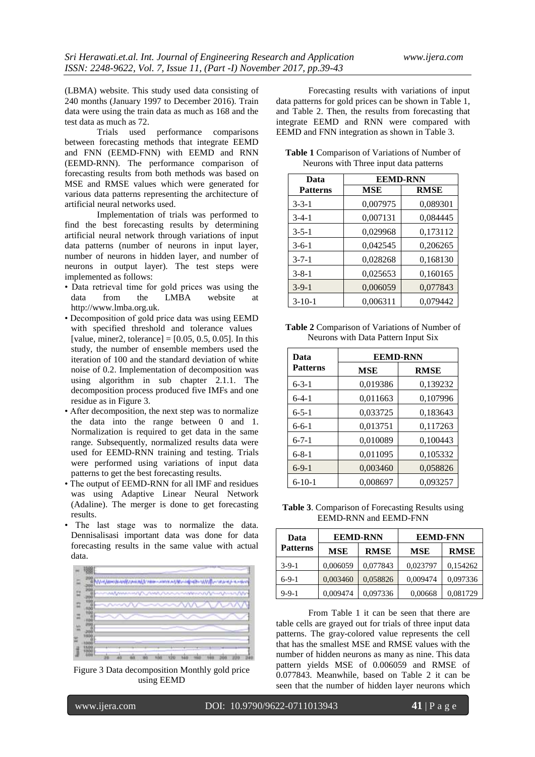(LBMA) website. This study used data consisting of 240 months (January 1997 to December 2016). Train data were using the train data as much as 168 and the test data as much as 72.

Trials used performance comparisons between forecasting methods that integrate EEMD and FNN (EEMD-FNN) with EEMD and RNN (EEMD-RNN). The performance comparison of forecasting results from both methods was based on MSE and RMSE values which were generated for various data patterns representing the architecture of artificial neural networks used.

Implementation of trials was performed to find the best forecasting results by determining artificial neural network through variations of input data patterns (number of neurons in input layer, number of neurons in hidden layer, and number of neurons in output layer). The test steps were implemented as follows:

- Data retrieval time for gold prices was using the data from the LMBA website http://www.lmba.org.uk.
- Decomposition of gold price data was using EEMD with specified threshold and tolerance values [value, miner2, tolerance] =  $[0.05, 0.5, 0.05]$ . In this study, the number of ensemble members used the iteration of 100 and the standard deviation of white noise of 0.2. Implementation of decomposition was using algorithm in sub chapter 2.1.1. The decomposition process produced five IMFs and one residue as in Figure 3.
- After decomposition, the next step was to normalize the data into the range between 0 and 1. Normalization is required to get data in the same range. Subsequently, normalized results data were used for EEMD-RNN training and testing. Trials were performed using variations of input data patterns to get the best forecasting results.
- The output of EEMD-RNN for all IMF and residues was using Adaptive Linear Neural Network (Adaline). The merger is done to get forecasting results.
- The last stage was to normalize the data. Dennisalisasi important data was done for data forecasting results in the same value with actual data.



Figure 3 Data decomposition Monthly gold price using EEMD

Forecasting results with variations of input data patterns for gold prices can be shown in Table 1, and Table 2. Then, the results from forecasting that integrate EEMD and RNN were compared with EEMD and FNN integration as shown in Table 3.

| Data            | <b>EEMD-RNN</b> |             |  |  |
|-----------------|-----------------|-------------|--|--|
| <b>Patterns</b> | MSE             | <b>RMSE</b> |  |  |
| $3 - 3 - 1$     | 0,007975        | 0,089301    |  |  |
| $3-4-1$         | 0,007131        | 0,084445    |  |  |
| $3 - 5 - 1$     | 0,029968        | 0,173112    |  |  |
| $3-6-1$         | 0,042545        | 0,206265    |  |  |
| $3 - 7 - 1$     | 0,028268        | 0,168130    |  |  |
| $3 - 8 - 1$     | 0,025653        | 0,160165    |  |  |
| $3-9-1$         | 0,006059        | 0,077843    |  |  |
| $3-10-1$        | 0,006311        | 0.079442    |  |  |

**Table 1** Comparison of Variations of Number of Neurons with Three input data patterns

**Table 2** Comparison of Variations of Number of Neurons with Data Pattern Input Six

| Data            | <b>EEMD-RNN</b> |             |  |
|-----------------|-----------------|-------------|--|
| <b>Patterns</b> | <b>MSE</b>      | <b>RMSE</b> |  |
| $6 - 3 - 1$     | 0,019386        | 0,139232    |  |
| $6-4-1$         | 0,011663        | 0,107996    |  |
| $6 - 5 - 1$     | 0,033725        | 0,183643    |  |
| $6 - 6 - 1$     | 0,013751        | 0,117263    |  |
| $6 - 7 - 1$     | 0,010089        | 0,100443    |  |
| $6 - 8 - 1$     | 0,011095        | 0,105332    |  |
| $6-9-1$         | 0,003460        | 0,058826    |  |
| $6 - 10 - 1$    | 0,008697        | 0,093257    |  |

**Table 3**. Comparison of Forecasting Results using EEMD-RNN and EEMD-FNN

| Data            | <b>EEMD-RNN</b> |             | <b>EEMD-FNN</b> |             |
|-----------------|-----------------|-------------|-----------------|-------------|
| <b>Patterns</b> | <b>MSE</b>      | <b>RMSE</b> | <b>MSE</b>      | <b>RMSE</b> |
| $3-9-1$         | 0,006059        | 0,077843    | 0,023797        | 0,154262    |
| $6-9-1$         | 0,003460        | 0,058826    | 0,009474        | 0,097336    |
| $9 - 9 - 1$     | 0.009474        | 0,097336    | 0,00668         | 0,081729    |

From Table 1 it can be seen that there are table cells are grayed out for trials of three input data patterns. The gray-colored value represents the cell that has the smallest MSE and RMSE values with the number of hidden neurons as many as nine. This data pattern yields MSE of 0.006059 and RMSE of 0.077843. Meanwhile, based on Table 2 it can be seen that the number of hidden layer neurons which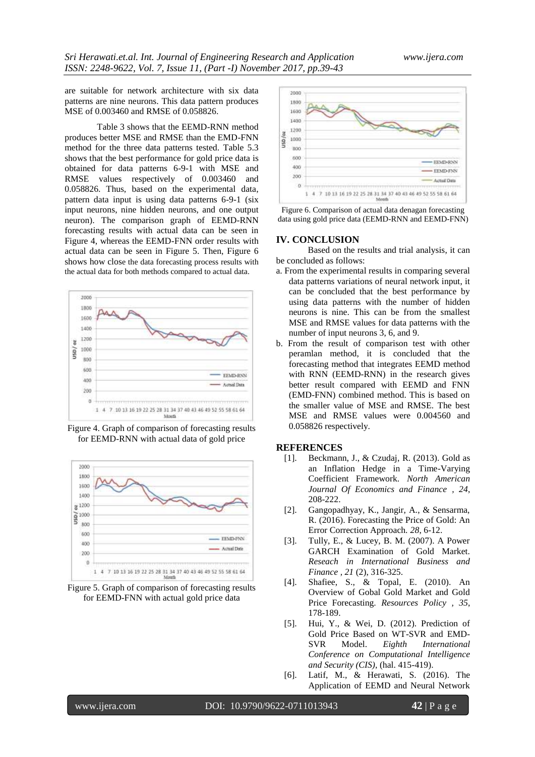are suitable for network architecture with six data patterns are nine neurons. This data pattern produces MSE of 0.003460 and RMSE of 0.058826.

Table 3 shows that the EEMD-RNN method produces better MSE and RMSE than the EMD-FNN method for the three data patterns tested. Table 5.3 shows that the best performance for gold price data is obtained for data patterns 6-9-1 with MSE and RMSE values respectively of 0.003460 and 0.058826. Thus, based on the experimental data, pattern data input is using data patterns 6-9-1 (six input neurons, nine hidden neurons, and one output neuron). The comparison graph of EEMD-RNN forecasting results with actual data can be seen in Figure 4, whereas the EEMD-FNN order results with actual data can be seen in Figure 5. Then, Figure 6 shows how close the data forecasting process results with the actual data for both methods compared to actual data.



Figure 4. Graph of comparison of forecasting results for EEMD-RNN with actual data of gold price



Figure 5. Graph of comparison of forecasting results for EEMD-FNN with actual gold price data



Figure 6. Comparison of actual data denagan forecasting data using gold price data (EEMD-RNN and EEMD-FNN)

### **IV. CONCLUSION**

Based on the results and trial analysis, it can be concluded as follows:

- a. From the experimental results in comparing several data patterns variations of neural network input, it can be concluded that the best performance by using data patterns with the number of hidden neurons is nine. This can be from the smallest MSE and RMSE values for data patterns with the number of input neurons 3, 6, and 9.
- b. From the result of comparison test with other peramlan method, it is concluded that the forecasting method that integrates EEMD method with RNN (EEMD-RNN) in the research gives better result compared with EEMD and FNN (EMD-FNN) combined method. This is based on the smaller value of MSE and RMSE. The best MSE and RMSE values were 0.004560 and 0.058826 respectively.

#### **REFERENCES**

- [1]. Beckmann, J., & Czudaj, R. (2013). Gold as an Inflation Hedge in a Time-Varying Coefficient Framework. *North American Journal Of Economics and Finance , 24*, 208-222.
- [2]. Gangopadhyay, K., Jangir, A., & Sensarma, R. (2016). Forecasting the Price of Gold: An Error Correction Approach. *28*, 6-12.
- [3]. Tully, E., & Lucey, B. M. (2007). A Power GARCH Examination of Gold Market. *Reseach in International Business and Finance , 21* (2), 316-325.
- [4]. Shafiee, S., & Topal, E. (2010). An Overview of Gobal Gold Market and Gold Price Forecasting. *Resources Policy , 35*, 178-189.
- [5]. Hui, Y., & Wei, D. (2012). Prediction of Gold Price Based on WT-SVR and EMD-SVR Model. *Eighth International Conference on Computational Intelligence and Security (CIS)*, (hal. 415-419).
- [6]. Latif, M., & Herawati, S. (2016). The Application of EEMD and Neural Network